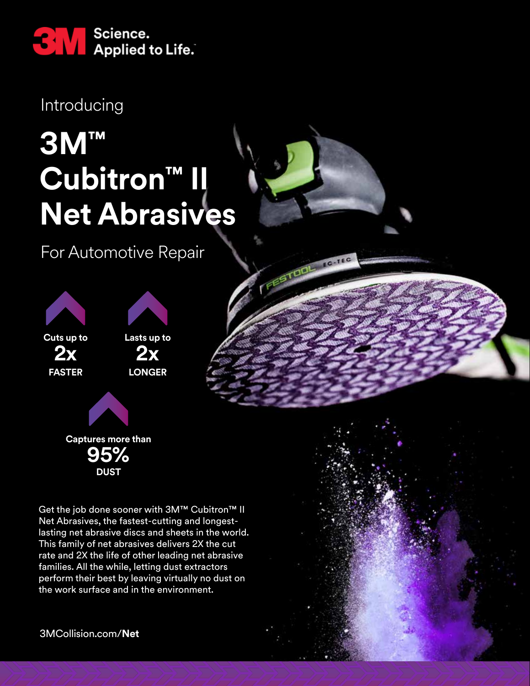

Introducing

## **3M™** Cubitron™ II **Net Abrasives**

EC.TEC

FEETOD!

For Automotive Repair



Get the job done sooner with 3M™ Cubitron™ II Net Abrasives, the fastest-cutting and longestlasting net abrasive discs and sheets in the world. This family of net abrasives delivers 2X the cut rate and 2X the life of other leading net abrasive families. All the while, letting dust extractors perform their best by leaving virtually no dust on the work surface and in the environment.

3MCollision.com/**Net**